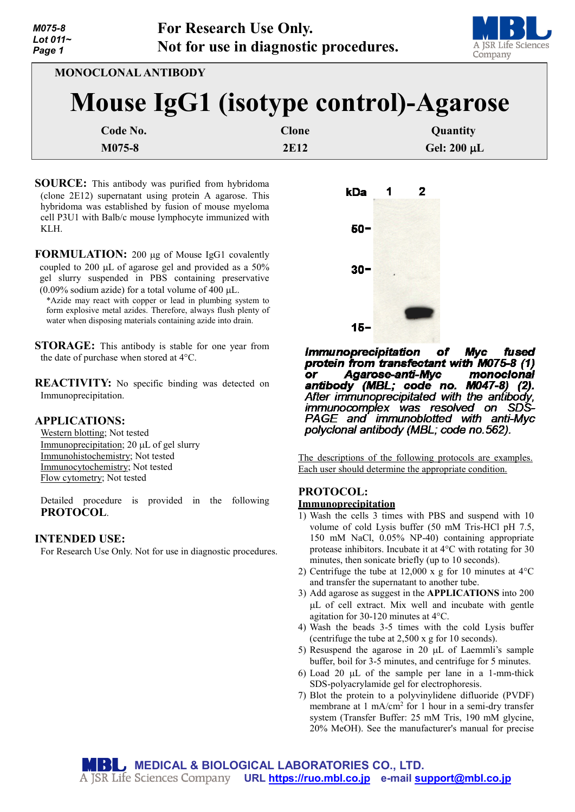

**MONOCLONAL ANTIBODY**

# **Mouse IgG1 (isotype control)-Agarose**

| Code No. | Clone | <b>Quantity</b>  |
|----------|-------|------------------|
| M075-8   | 2E12  | Gel: $200 \mu L$ |

**SOURCE:** This antibody was purified from hybridoma (clone 2E12) supernatant using protein A agarose. This hybridoma was established by fusion of mouse myeloma cell P3U1 with Balb/c mouse lymphocyte immunized with KLH.

**FORMULATION:** 200 µg of Mouse IgG1 covalently coupled to 200 µL of agarose gel and provided as a 50% gel slurry suspended in PBS containing preservative (0.09% sodium azide) for a total volume of 400  $\mu$ L.

\*Azide may react with copper or lead in plumbing system to form explosive metal azides. Therefore, always flush plenty of water when disposing materials containing azide into drain.

**STORAGE:** This antibody is stable for one year from the date of purchase when stored at 4°C.

**REACTIVITY:** No specific binding was detected on Immunoprecipitation.

## **APPLICATIONS:**

Western blotting; Not tested Immunoprecipitation; 20 µL of gel slurry Immunohistochemistry; Not tested Immunocytochemistry; Not tested Flow cytometry; Not tested

Detailed procedure is provided in the following **PROTOCOL**.

## **INTENDED USE:**

For Research Use Only. Not for use in diagnostic procedures.



**Immunoprecipitation** of **Myc** fused protein from transfectant with M075-8 (1) Agarose-anti-Myc monoclonal or antibody (MBL; code no. M047-8) (2). After immunoprecipitated with the antibody, immunocomplex was resolved on SDS-PAGE and immunoblotted with anti-Myc polyclonal antibody (MBL; code no.562).

The descriptions of the following protocols are examples. Each user should determine the appropriate condition.

## **PROTOCOL:**

## **Immunoprecipitation**

- 1) Wash the cells 3 times with PBS and suspend with 10 volume of cold Lysis buffer (50 mM Tris-HCl pH 7.5, 150 mM NaCl, 0.05% NP-40) containing appropriate protease inhibitors. Incubate it at 4°C with rotating for 30 minutes, then sonicate briefly (up to 10 seconds).
- 2) Centrifuge the tube at 12,000 x g for 10 minutes at  $4^{\circ}$ C and transfer the supernatant to another tube.
- 3) Add agarose as suggest in the **APPLICATIONS** into 200 µL of cell extract. Mix well and incubate with gentle agitation for 30-120 minutes at 4°C.
- 4) Wash the beads 3-5 times with the cold Lysis buffer (centrifuge the tube at 2,500 x g for 10 seconds).
- 5) Resuspend the agarose in 20  $\mu$ L of Laemmli's sample buffer, boil for 3-5 minutes, and centrifuge for 5 minutes.
- 6) Load 20  $\mu$ L of the sample per lane in a 1-mm-thick SDS-polyacrylamide gel for electrophoresis.
- 7) Blot the protein to a polyvinylidene difluoride (PVDF) membrane at  $1 \text{ mA/cm}^2$  for  $1 \text{ hour in a semi-dry transfer}$ system (Transfer Buffer: 25 mM Tris, 190 mM glycine, 20% MeOH). See the manufacturer's manual for precise